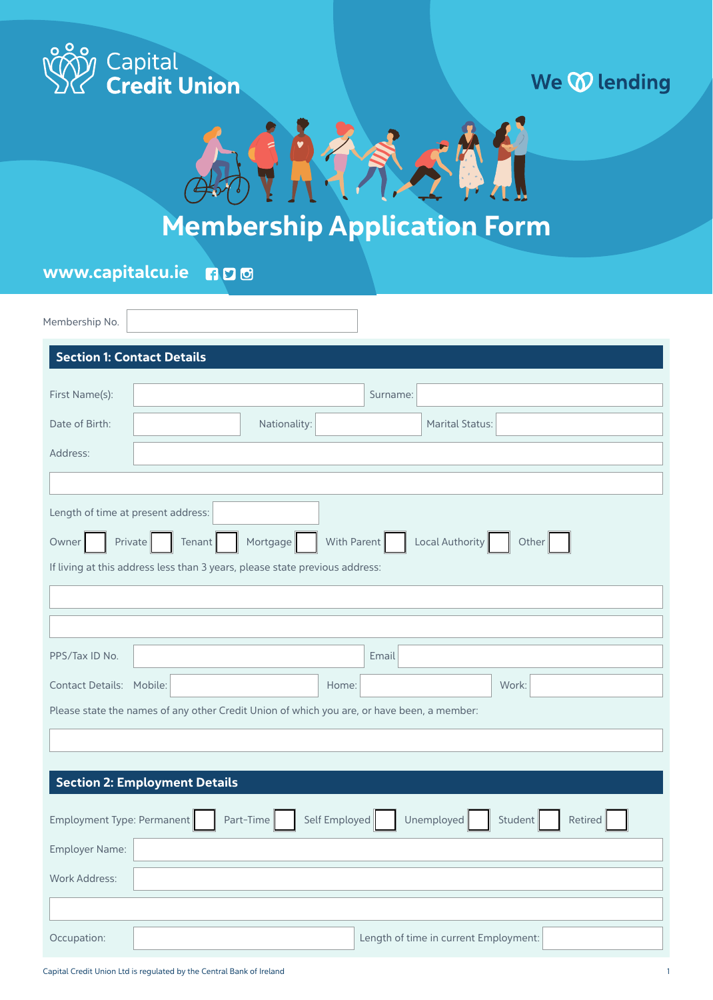

### We **W** lending



## Membership Application Form

www.capitalcu.ie600

| Membership No.                     |                                                                                            |
|------------------------------------|--------------------------------------------------------------------------------------------|
|                                    | <b>Section 1: Contact Details</b>                                                          |
| First Name(s):                     | Surname:                                                                                   |
|                                    |                                                                                            |
| Date of Birth:                     | Nationality:<br><b>Marital Status:</b>                                                     |
| Address:                           |                                                                                            |
|                                    |                                                                                            |
| Length of time at present address: |                                                                                            |
| Owner                              | With Parent<br>Local Authority<br>Private<br>Tenant<br>Mortgage<br>Other                   |
|                                    | If living at this address less than 3 years, please state previous address:                |
|                                    |                                                                                            |
|                                    |                                                                                            |
| PPS/Tax ID No.                     | Email                                                                                      |
| Contact Details: Mobile:           | Home:<br>Work:                                                                             |
|                                    | Please state the names of any other Credit Union of which you are, or have been, a member: |
|                                    |                                                                                            |
|                                    |                                                                                            |
|                                    | <b>Section 2: Employment Details</b>                                                       |
|                                    |                                                                                            |
| Employment Type: Permanent         | Part-Time<br>Self Employed<br>Unemployed<br>Student<br>Retired                             |
| Employer Name:                     |                                                                                            |
| Work Address:                      |                                                                                            |
|                                    |                                                                                            |
| Occupation:                        | Length of time in current Employment:                                                      |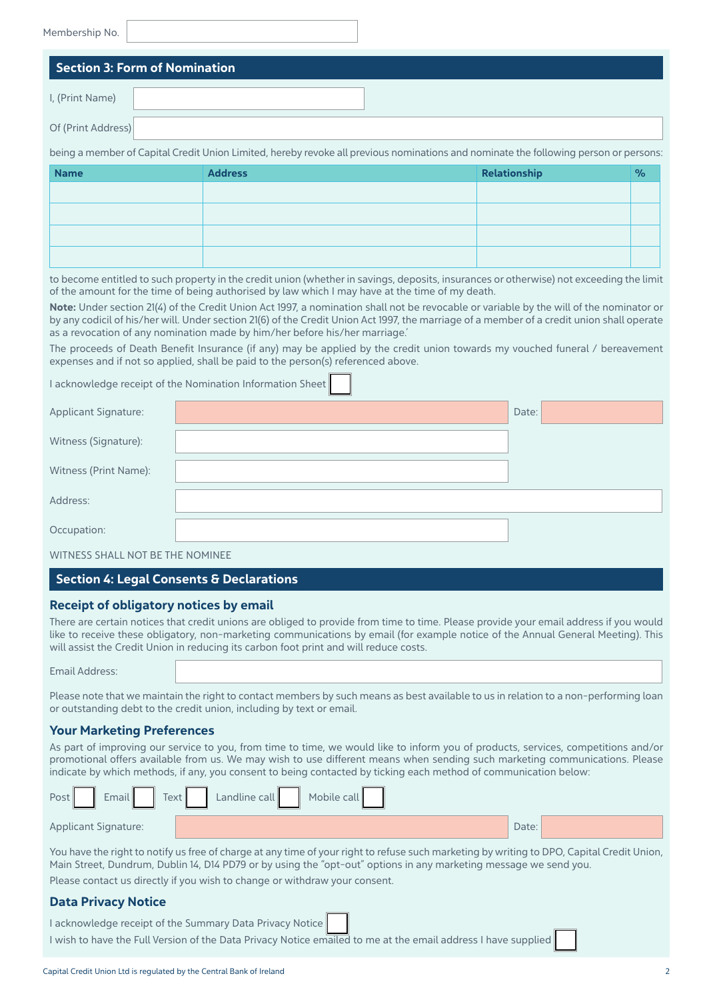#### Membership No.

|                    | <b>Section 3: Form of Nomination</b>                                                                                                 |
|--------------------|--------------------------------------------------------------------------------------------------------------------------------------|
| I, (Print Name)    |                                                                                                                                      |
| Of (Print Address) |                                                                                                                                      |
|                    | being a member of Capital Credit Union Limited, hereby revoke all previous nominations and nominate the following person or persons: |

| <b>Name</b> | <b>Address</b> | Relationship | $\%$ |
|-------------|----------------|--------------|------|
|             |                |              |      |
|             |                |              |      |
|             |                |              |      |
|             |                |              |      |
|             |                |              |      |

to become entitled to such property in the credit union (whether in savings, deposits, insurances or otherwise) not exceeding the limit of the amount for the time of being authorised by law which I may have at the time of my death.

Note: Under section 21(4) of the Credit Union Act 1997, a nomination shall not be revocable or variable by the will of the nominator or by any codicil of his/her will. Under section 21(6) of the Credit Union Act 1997, the marriage of a member of a credit union shall operate as a revocation of any nomination made by him/her before his/her marriage.'

The proceeds of Death Benefit Insurance (if any) may be applied by the credit union towards my vouched funeral / bereavement expenses and if not so applied, shall be paid to the person(s) referenced above.

I acknowledge receipt of the Nomination Information Sheet

| Applicant Signature:  | Date: |
|-----------------------|-------|
| Witness (Signature):  |       |
| Witness (Print Name): |       |
| Address:              |       |
| Occupation:           |       |

#### WITNESS SHALL NOT BE THE NOMINEE

#### Section 4: Legal Consents & Declarations

#### Receipt of obligatory notices by email

There are certain notices that credit unions are obliged to provide from time to time. Please provide your email address if you would like to receive these obligatory, non-marketing communications by email (for example notice of the Annual General Meeting). This will assist the Credit Union in reducing its carbon foot print and will reduce costs.

Email Address:

Please note that we maintain the right to contact members by such means as best available to us in relation to a non-performing loan or outstanding debt to the credit union, including by text or email.

#### Your Marketing Preferences

As part of improving our service to you, from time to time, we would like to inform you of products, services, competitions and/or promotional offers available from us. We may wish to use different means when sending such marketing communications. Please indicate by which methods, if any, you consent to being contacted by ticking each method of communication below:

| Post | <b>Email</b>                | Text | Landline call | Mobile call |  |       |  |
|------|-----------------------------|------|---------------|-------------|--|-------|--|
|      | <b>Applicant Signature:</b> |      |               |             |  | Date: |  |

You have the right to notify us free of charge at any time of your right to refuse such marketing by writing to DPO, Capital Credit Union, Main Street, Dundrum, Dublin 14, D14 PD79 or by using the "opt-out" options in any marketing message we send you. Please contact us directly if you wish to change or withdraw your consent.

#### Data Privacy Notice

| acknowledge receipt of the Summary Data Privacy Notice                                                        |  |
|---------------------------------------------------------------------------------------------------------------|--|
| I wish to have the Full Version of the Data Privacy Notice emailed to me at the email address I have supplied |  |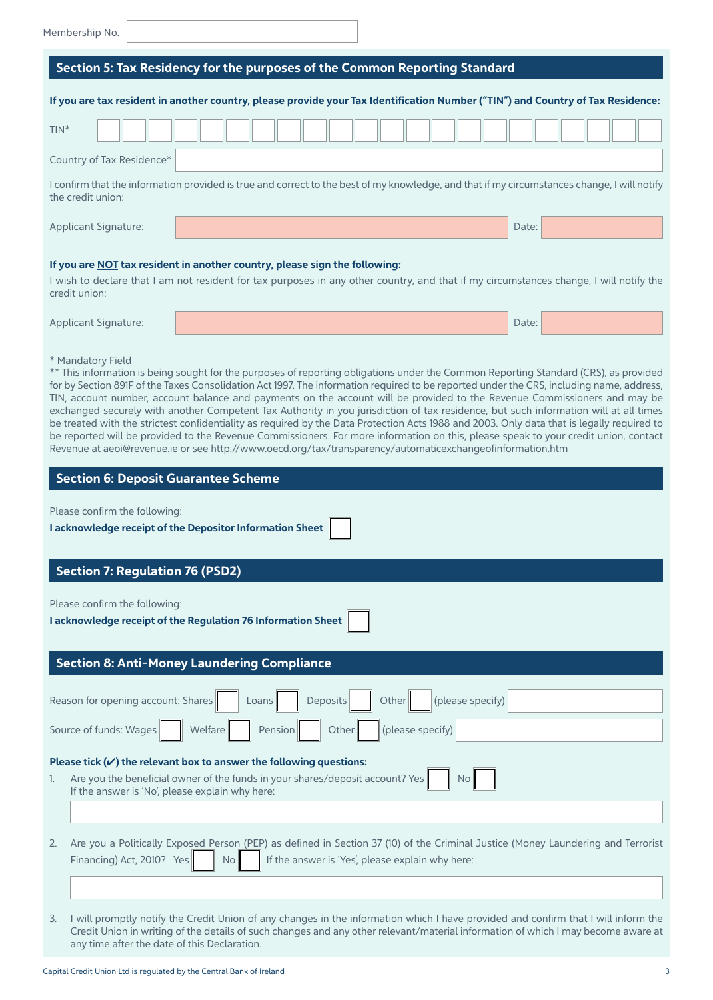|  |  | Membership No. |
|--|--|----------------|
|--|--|----------------|

| Section 5: Tax Residency for the purposes of the Common Reporting Standard                                                                                                                                                                                                                                                                                                                                                                                                                                                                                                                                                                                                                                                                                                                                                                                                                                                                                                   |                                                                                                                                                                                                                      |  |  |  |  |
|------------------------------------------------------------------------------------------------------------------------------------------------------------------------------------------------------------------------------------------------------------------------------------------------------------------------------------------------------------------------------------------------------------------------------------------------------------------------------------------------------------------------------------------------------------------------------------------------------------------------------------------------------------------------------------------------------------------------------------------------------------------------------------------------------------------------------------------------------------------------------------------------------------------------------------------------------------------------------|----------------------------------------------------------------------------------------------------------------------------------------------------------------------------------------------------------------------|--|--|--|--|
|                                                                                                                                                                                                                                                                                                                                                                                                                                                                                                                                                                                                                                                                                                                                                                                                                                                                                                                                                                              | If you are tax resident in another country, please provide your Tax Identification Number ("TIN") and Country of Tax Residence:                                                                                      |  |  |  |  |
| $TIN^*$                                                                                                                                                                                                                                                                                                                                                                                                                                                                                                                                                                                                                                                                                                                                                                                                                                                                                                                                                                      |                                                                                                                                                                                                                      |  |  |  |  |
| Country of Tax Residence*                                                                                                                                                                                                                                                                                                                                                                                                                                                                                                                                                                                                                                                                                                                                                                                                                                                                                                                                                    |                                                                                                                                                                                                                      |  |  |  |  |
| the credit union:                                                                                                                                                                                                                                                                                                                                                                                                                                                                                                                                                                                                                                                                                                                                                                                                                                                                                                                                                            | I confirm that the information provided is true and correct to the best of my knowledge, and that if my circumstances change, I will notify                                                                          |  |  |  |  |
| Applicant Signature:                                                                                                                                                                                                                                                                                                                                                                                                                                                                                                                                                                                                                                                                                                                                                                                                                                                                                                                                                         | Date:                                                                                                                                                                                                                |  |  |  |  |
| credit union:                                                                                                                                                                                                                                                                                                                                                                                                                                                                                                                                                                                                                                                                                                                                                                                                                                                                                                                                                                | If you are NOT tax resident in another country, please sign the following:<br>I wish to declare that I am not resident for tax purposes in any other country, and that if my circumstances change, I will notify the |  |  |  |  |
| Applicant Signature:                                                                                                                                                                                                                                                                                                                                                                                                                                                                                                                                                                                                                                                                                                                                                                                                                                                                                                                                                         | Date:                                                                                                                                                                                                                |  |  |  |  |
| * Mandatory Field<br>** This information is being sought for the purposes of reporting obligations under the Common Reporting Standard (CRS), as provided<br>for by Section 891F of the Taxes Consolidation Act 1997. The information required to be reported under the CRS, including name, address,<br>TIN, account number, account balance and payments on the account will be provided to the Revenue Commissioners and may be<br>exchanged securely with another Competent Tax Authority in you jurisdiction of tax residence, but such information will at all times<br>be treated with the strictest confidentiality as required by the Data Protection Acts 1988 and 2003. Only data that is legally required to<br>be reported will be provided to the Revenue Commissioners. For more information on this, please speak to your credit union, contact<br>Revenue at aeoi@revenue.ie or see http://www.oecd.org/tax/transparency/automaticexchangeofinformation.htm |                                                                                                                                                                                                                      |  |  |  |  |
| <b>Section 6: Deposit Guarantee Scheme</b>                                                                                                                                                                                                                                                                                                                                                                                                                                                                                                                                                                                                                                                                                                                                                                                                                                                                                                                                   |                                                                                                                                                                                                                      |  |  |  |  |
| Please confirm the following:<br>I acknowledge receipt of the Depositor Information Sheet                                                                                                                                                                                                                                                                                                                                                                                                                                                                                                                                                                                                                                                                                                                                                                                                                                                                                    |                                                                                                                                                                                                                      |  |  |  |  |
| <b>Section 7: Regulation 76 (PSD2)</b>                                                                                                                                                                                                                                                                                                                                                                                                                                                                                                                                                                                                                                                                                                                                                                                                                                                                                                                                       |                                                                                                                                                                                                                      |  |  |  |  |
| Please confirm the following:<br>I acknowledge receipt of the Regulation 76 Information Sheet                                                                                                                                                                                                                                                                                                                                                                                                                                                                                                                                                                                                                                                                                                                                                                                                                                                                                |                                                                                                                                                                                                                      |  |  |  |  |
| <b>Section 8: Anti-Money Laundering Compliance</b>                                                                                                                                                                                                                                                                                                                                                                                                                                                                                                                                                                                                                                                                                                                                                                                                                                                                                                                           |                                                                                                                                                                                                                      |  |  |  |  |
| Reason for opening account: Shares                                                                                                                                                                                                                                                                                                                                                                                                                                                                                                                                                                                                                                                                                                                                                                                                                                                                                                                                           | (please specify)<br>Deposits<br>Other<br>Loans                                                                                                                                                                       |  |  |  |  |

| Source of funds: Wages     Welfare   Pension   Other   (please specify)                                                          |
|----------------------------------------------------------------------------------------------------------------------------------|
| Please tick $(v)$ the relevant box to answer the following questions:                                                            |
| If the answer is 'No', please explain why here:                                                                                  |
|                                                                                                                                  |
| Are you a Politically Exposed Person (PEP) as defined in Section 37 (10) of the Criminal Justice (Money Laundering and Terrorist |
| Financing) Act, 2010? Yes $\Box$ No If the answer is 'Yes', please explain why here:                                             |

3. I will promptly notify the Credit Union of any changes in the information which I have provided and confirm that I will inform the Credit Union in writing of the details of such changes and any other relevant/material information of which I may become aware at any time after the date of this Declaration.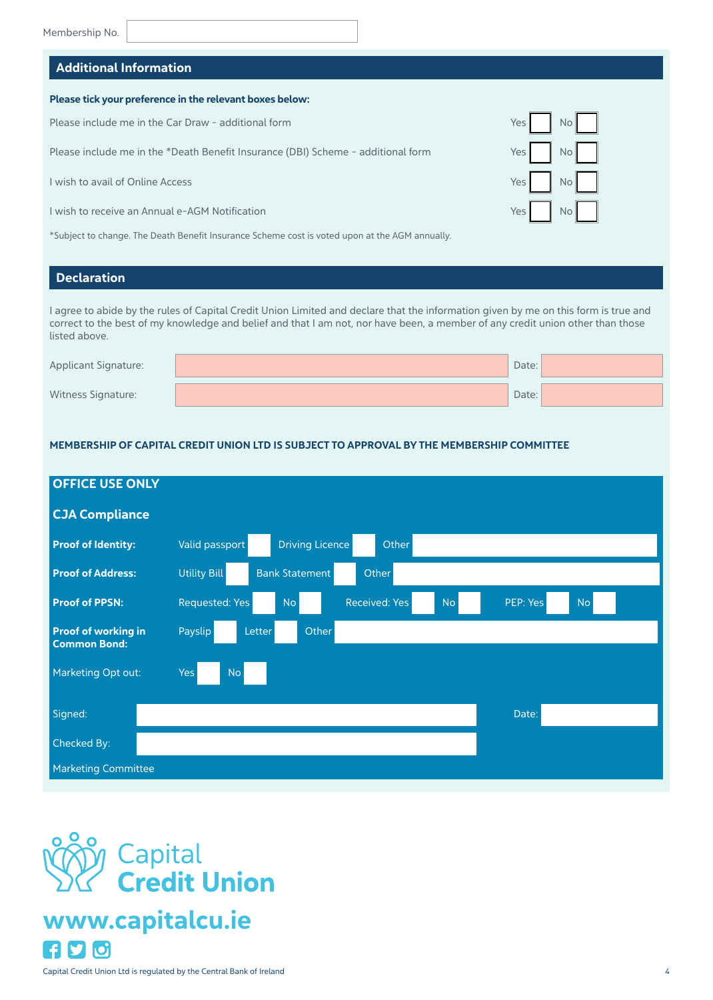#### Additional Information

#### Please tick your preference in the relevant boxes below:

Please include me in the Car Draw - additional form

Please include me in the \*Death Benefit Insurance (DBI) Scheme - additional form

I wish to avail of Online Access

I wish to receive an Annual e-AGM Notification

\*Subject to change. The Death Benefit Insurance Scheme cost is voted upon at the AGM annually.

#### Declaration

I agree to abide by the rules of Capital Credit Union Limited and declare that the information given by me on this form is true and correct to the best of my knowledge and belief and that I am not, nor have been, a member of any credit union other than those listed above.

| <b>Applicant Signature:</b> | Date: |  |
|-----------------------------|-------|--|
| <b>Witness Signature:</b>   | Date: |  |

#### MEMBERSHIP OF CAPITAL CREDIT UNION LTD IS SUBJECT TO APPROVAL BY THE MEMBERSHIP COMMITTEE

| <b>OFFICE USE ONLY</b>                            |                                                                                    |
|---------------------------------------------------|------------------------------------------------------------------------------------|
| <b>CJA Compliance</b>                             |                                                                                    |
| <b>Proof of Identity:</b>                         | Driving Licence<br>Valid passport<br>Other                                         |
| <b>Proof of Address:</b>                          | <b>Utility Bill</b><br><b>Bank Statement</b><br>Other                              |
| <b>Proof of PPSN:</b>                             | Received: Yes<br><b>No</b><br>Requested: Yes<br><b>No</b><br><b>No</b><br>PEP: Yes |
| <b>Proof of working in</b><br><b>Common Bond:</b> | Payslip<br>Other<br>Letter                                                         |
| Marketing Opt out:                                | <b>Yes</b><br><b>No</b>                                                            |
| Signed:                                           | Date:                                                                              |
| Checked By:                                       |                                                                                    |
| <b>Marketing Committee</b>                        |                                                                                    |



## www.capitalcu.ie<u>fly Id</u>

| Yes | No |
|-----|----|
| Yes | No |
| Yes | No |
| Yes | No |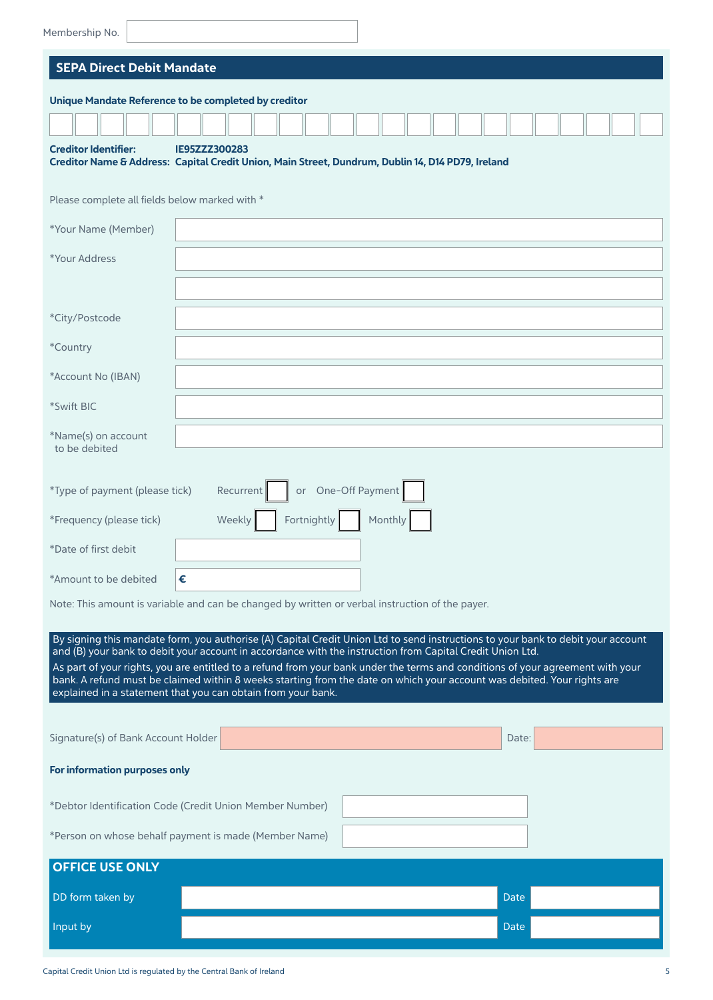| Membership No.                                                                                                                                                                                                                                                                                                                                                                                                                                                                                                                                                             |                                                                                                                    |
|----------------------------------------------------------------------------------------------------------------------------------------------------------------------------------------------------------------------------------------------------------------------------------------------------------------------------------------------------------------------------------------------------------------------------------------------------------------------------------------------------------------------------------------------------------------------------|--------------------------------------------------------------------------------------------------------------------|
| <b>SEPA Direct Debit Mandate</b>                                                                                                                                                                                                                                                                                                                                                                                                                                                                                                                                           |                                                                                                                    |
| Unique Mandate Reference to be completed by creditor                                                                                                                                                                                                                                                                                                                                                                                                                                                                                                                       |                                                                                                                    |
|                                                                                                                                                                                                                                                                                                                                                                                                                                                                                                                                                                            |                                                                                                                    |
| <b>Creditor Identifier:</b>                                                                                                                                                                                                                                                                                                                                                                                                                                                                                                                                                | IE95ZZZ300283<br>Creditor Name & Address: Capital Credit Union, Main Street, Dundrum, Dublin 14, D14 PD79, Ireland |
| Please complete all fields below marked with *                                                                                                                                                                                                                                                                                                                                                                                                                                                                                                                             |                                                                                                                    |
| *Your Name (Member)                                                                                                                                                                                                                                                                                                                                                                                                                                                                                                                                                        |                                                                                                                    |
| *Your Address                                                                                                                                                                                                                                                                                                                                                                                                                                                                                                                                                              |                                                                                                                    |
|                                                                                                                                                                                                                                                                                                                                                                                                                                                                                                                                                                            |                                                                                                                    |
| *City/Postcode                                                                                                                                                                                                                                                                                                                                                                                                                                                                                                                                                             |                                                                                                                    |
| *Country                                                                                                                                                                                                                                                                                                                                                                                                                                                                                                                                                                   |                                                                                                                    |
| *Account No (IBAN)                                                                                                                                                                                                                                                                                                                                                                                                                                                                                                                                                         |                                                                                                                    |
| *Swift BIC                                                                                                                                                                                                                                                                                                                                                                                                                                                                                                                                                                 |                                                                                                                    |
| *Name(s) on account<br>to be debited                                                                                                                                                                                                                                                                                                                                                                                                                                                                                                                                       |                                                                                                                    |
| or One-Off Payment<br>*Type of payment (please tick)<br>Recurrent                                                                                                                                                                                                                                                                                                                                                                                                                                                                                                          |                                                                                                                    |
| *Frequency (please tick)                                                                                                                                                                                                                                                                                                                                                                                                                                                                                                                                                   | Fortnightly<br>Weekly<br>Monthly                                                                                   |
| *Date of first debit                                                                                                                                                                                                                                                                                                                                                                                                                                                                                                                                                       |                                                                                                                    |
| *Amount to be debited                                                                                                                                                                                                                                                                                                                                                                                                                                                                                                                                                      | €                                                                                                                  |
| Note: This amount is variable and can be changed by written or verbal instruction of the payer.                                                                                                                                                                                                                                                                                                                                                                                                                                                                            |                                                                                                                    |
| By signing this mandate form, you authorise (A) Capital Credit Union Ltd to send instructions to your bank to debit your account<br>and (B) your bank to debit your account in accordance with the instruction from Capital Credit Union Ltd.<br>As part of your rights, you are entitled to a refund from your bank under the terms and conditions of your agreement with your<br>bank. A refund must be claimed within 8 weeks starting from the date on which your account was debited. Your rights are<br>explained in a statement that you can obtain from your bank. |                                                                                                                    |
| Signature(s) of Bank Account Holder                                                                                                                                                                                                                                                                                                                                                                                                                                                                                                                                        | Date:                                                                                                              |
| For information purposes only                                                                                                                                                                                                                                                                                                                                                                                                                                                                                                                                              |                                                                                                                    |
|                                                                                                                                                                                                                                                                                                                                                                                                                                                                                                                                                                            | *Debtor Identification Code (Credit Union Member Number)                                                           |
|                                                                                                                                                                                                                                                                                                                                                                                                                                                                                                                                                                            | *Person on whose behalf payment is made (Member Name)                                                              |
| <b>OFFICE USE ONLY</b>                                                                                                                                                                                                                                                                                                                                                                                                                                                                                                                                                     |                                                                                                                    |
| DD form taken by                                                                                                                                                                                                                                                                                                                                                                                                                                                                                                                                                           | <b>Date</b>                                                                                                        |
| Input by                                                                                                                                                                                                                                                                                                                                                                                                                                                                                                                                                                   | <b>Date:</b>                                                                                                       |